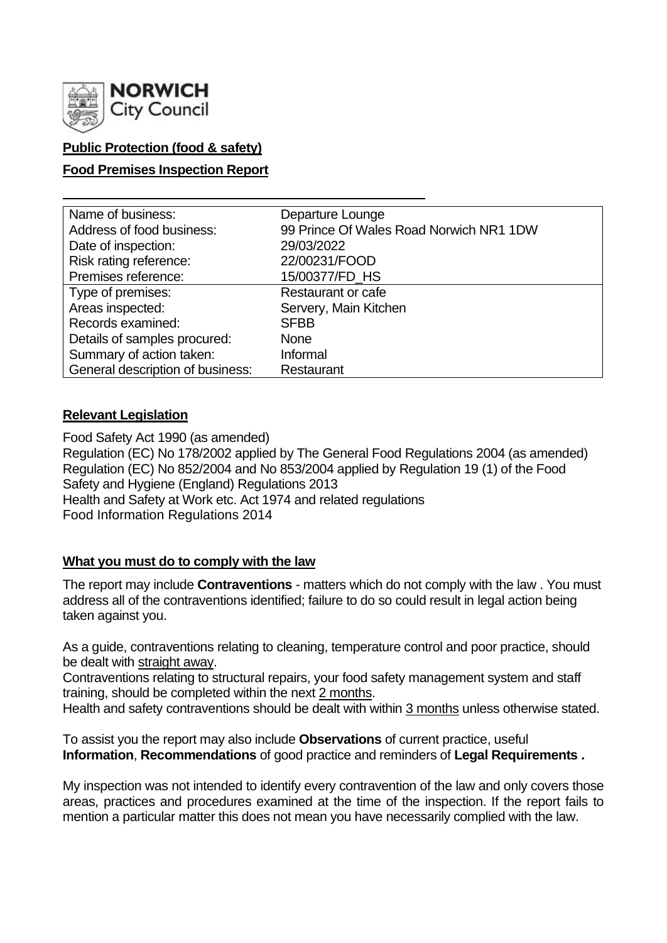

# **Public Protection (food & safety)**

### **Food Premises Inspection Report**

| Name of business:                | Departure Lounge                        |
|----------------------------------|-----------------------------------------|
| Address of food business:        | 99 Prince Of Wales Road Norwich NR1 1DW |
| Date of inspection:              | 29/03/2022                              |
| Risk rating reference:           | 22/00231/FOOD                           |
| Premises reference:              | 15/00377/FD_HS                          |
| Type of premises:                | Restaurant or cafe                      |
| Areas inspected:                 | Servery, Main Kitchen                   |
| Records examined:                | <b>SFBB</b>                             |
| Details of samples procured:     | <b>None</b>                             |
| Summary of action taken:         | Informal                                |
| General description of business: | Restaurant                              |

### **Relevant Legislation**

Food Safety Act 1990 (as amended) Regulation (EC) No 178/2002 applied by The General Food Regulations 2004 (as amended) Regulation (EC) No 852/2004 and No 853/2004 applied by Regulation 19 (1) of the Food Safety and Hygiene (England) Regulations 2013 Health and Safety at Work etc. Act 1974 and related regulations Food Information Regulations 2014

### **What you must do to comply with the law**

The report may include **Contraventions** - matters which do not comply with the law . You must address all of the contraventions identified; failure to do so could result in legal action being taken against you.

As a guide, contraventions relating to cleaning, temperature control and poor practice, should be dealt with straight away.

Contraventions relating to structural repairs, your food safety management system and staff training, should be completed within the next 2 months.

Health and safety contraventions should be dealt with within 3 months unless otherwise stated.

To assist you the report may also include **Observations** of current practice, useful **Information**, **Recommendations** of good practice and reminders of **Legal Requirements .**

My inspection was not intended to identify every contravention of the law and only covers those areas, practices and procedures examined at the time of the inspection. If the report fails to mention a particular matter this does not mean you have necessarily complied with the law.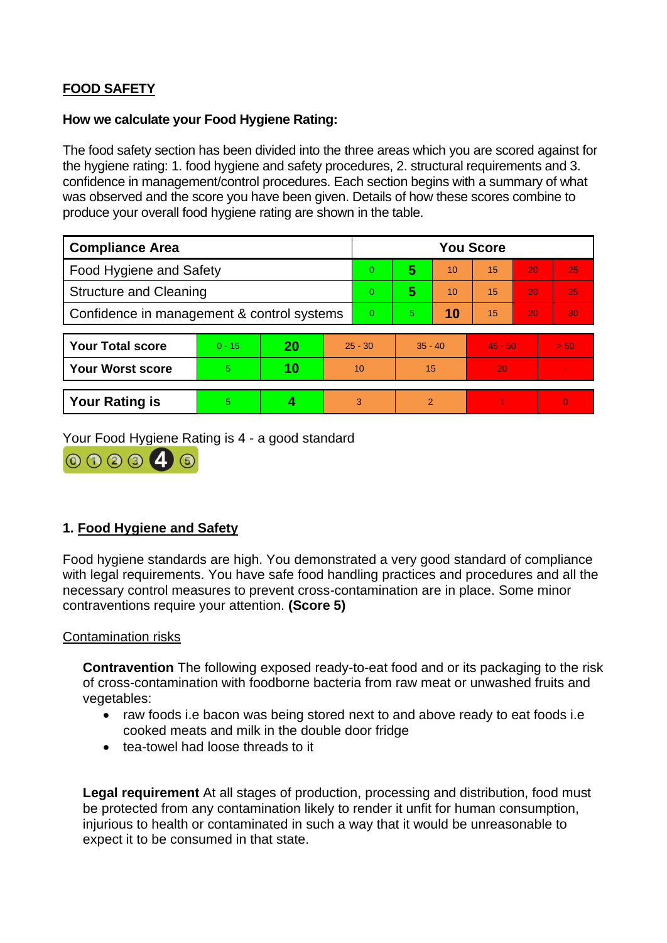# **FOOD SAFETY**

### **How we calculate your Food Hygiene Rating:**

The food safety section has been divided into the three areas which you are scored against for the hygiene rating: 1. food hygiene and safety procedures, 2. structural requirements and 3. confidence in management/control procedures. Each section begins with a summary of what was observed and the score you have been given. Details of how these scores combine to produce your overall food hygiene rating are shown in the table.

| <b>Compliance Area</b>                     |          |    |           | <b>You Score</b> |               |    |           |                 |          |
|--------------------------------------------|----------|----|-----------|------------------|---------------|----|-----------|-----------------|----------|
| Food Hygiene and Safety                    |          |    |           | 0                | 5             | 10 | 15        | 20              | 25       |
| <b>Structure and Cleaning</b>              |          |    |           | 0                | 5             | 10 | 15        | 20              | 25       |
| Confidence in management & control systems |          |    | $\Omega$  | 5.               | 10            | 15 | 20        | 30 <sub>1</sub> |          |
|                                            |          |    |           |                  |               |    |           |                 |          |
| <b>Your Total score</b>                    | $0 - 15$ | 20 | $25 - 30$ |                  | $35 - 40$     |    | $45 - 50$ |                 | > 50     |
| <b>Your Worst score</b>                    | 5        | 10 | 10        |                  | 15            |    | 20        |                 |          |
|                                            |          |    |           |                  |               |    |           |                 |          |
| <b>Your Rating is</b>                      | 5        |    |           | 3                | $\mathcal{P}$ |    |           |                 | $\Omega$ |

Your Food Hygiene Rating is 4 - a good standard



# **1. Food Hygiene and Safety**

Food hygiene standards are high. You demonstrated a very good standard of compliance with legal requirements. You have safe food handling practices and procedures and all the necessary control measures to prevent cross-contamination are in place. Some minor contraventions require your attention. **(Score 5)**

### Contamination risks

**Contravention** The following exposed ready-to-eat food and or its packaging to the risk of cross-contamination with foodborne bacteria from raw meat or unwashed fruits and vegetables:

- raw foods i.e bacon was being stored next to and above ready to eat foods i.e cooked meats and milk in the double door fridge
- tea-towel had loose threads to it

**Legal requirement** At all stages of production, processing and distribution, food must be protected from any contamination likely to render it unfit for human consumption, injurious to health or contaminated in such a way that it would be unreasonable to expect it to be consumed in that state.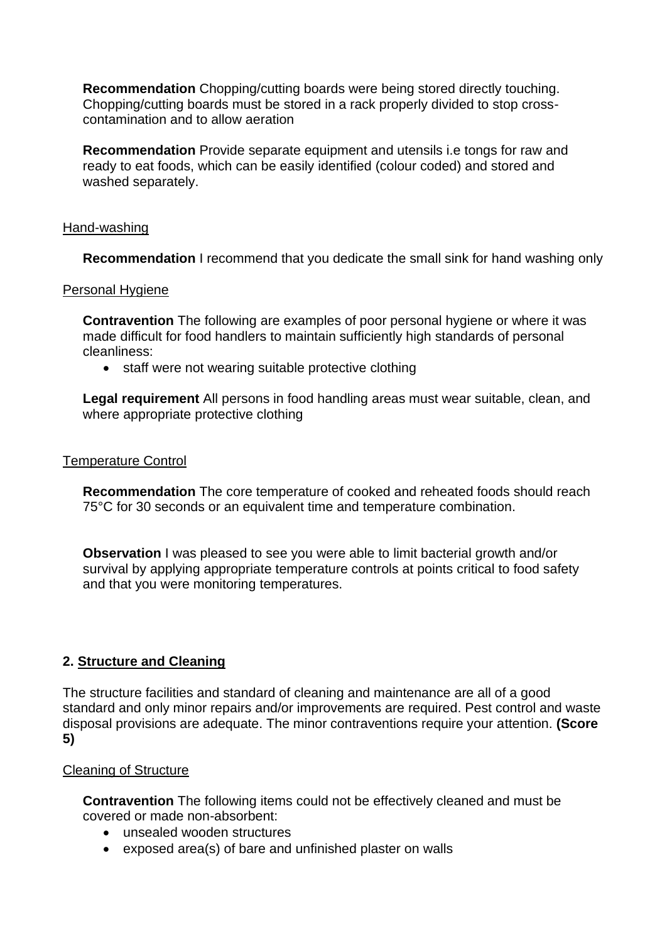**Recommendation** Chopping/cutting boards were being stored directly touching. Chopping/cutting boards must be stored in a rack properly divided to stop crosscontamination and to allow aeration

**Recommendation** Provide separate equipment and utensils i.e tongs for raw and ready to eat foods, which can be easily identified (colour coded) and stored and washed separately.

### Hand-washing

**Recommendation** I recommend that you dedicate the small sink for hand washing only

#### Personal Hygiene

**Contravention** The following are examples of poor personal hygiene or where it was made difficult for food handlers to maintain sufficiently high standards of personal cleanliness:

• staff were not wearing suitable protective clothing

**Legal requirement** All persons in food handling areas must wear suitable, clean, and where appropriate protective clothing

#### Temperature Control

**Recommendation** The core temperature of cooked and reheated foods should reach 75°C for 30 seconds or an equivalent time and temperature combination.

**Observation** I was pleased to see you were able to limit bacterial growth and/or survival by applying appropriate temperature controls at points critical to food safety and that you were monitoring temperatures.

### **2. Structure and Cleaning**

The structure facilities and standard of cleaning and maintenance are all of a good standard and only minor repairs and/or improvements are required. Pest control and waste disposal provisions are adequate. The minor contraventions require your attention. **(Score 5)**

### Cleaning of Structure

**Contravention** The following items could not be effectively cleaned and must be covered or made non-absorbent:

- unsealed wooden structures
- exposed area(s) of bare and unfinished plaster on walls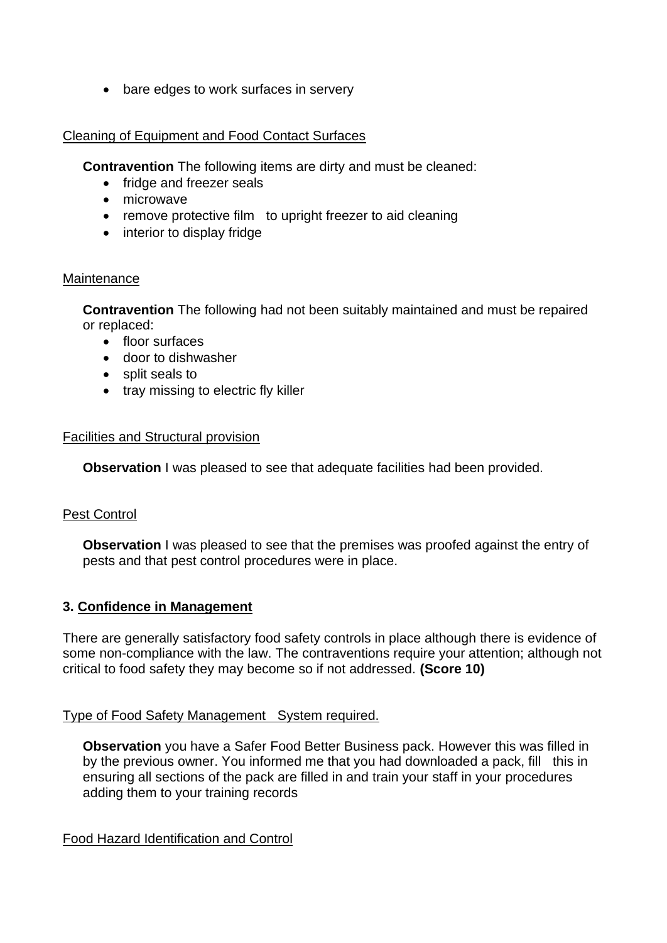• bare edges to work surfaces in servery

## Cleaning of Equipment and Food Contact Surfaces

**Contravention** The following items are dirty and must be cleaned:

- fridge and freezer seals
- microwave
- remove protective film to upright freezer to aid cleaning
- interior to display fridge

#### Maintenance

**Contravention** The following had not been suitably maintained and must be repaired or replaced:

- floor surfaces
- door to dishwasher
- split seals to
- tray missing to electric fly killer

#### Facilities and Structural provision

**Observation** I was pleased to see that adequate facilities had been provided.

### Pest Control

**Observation** I was pleased to see that the premises was proofed against the entry of pests and that pest control procedures were in place.

### **3. Confidence in Management**

There are generally satisfactory food safety controls in place although there is evidence of some non-compliance with the law. The contraventions require your attention; although not critical to food safety they may become so if not addressed. **(Score 10)**

### Type of Food Safety Management System required.

**Observation** you have a Safer Food Better Business pack. However this was filled in by the previous owner. You informed me that you had downloaded a pack, fill this in ensuring all sections of the pack are filled in and train your staff in your procedures adding them to your training records

Food Hazard Identification and Control